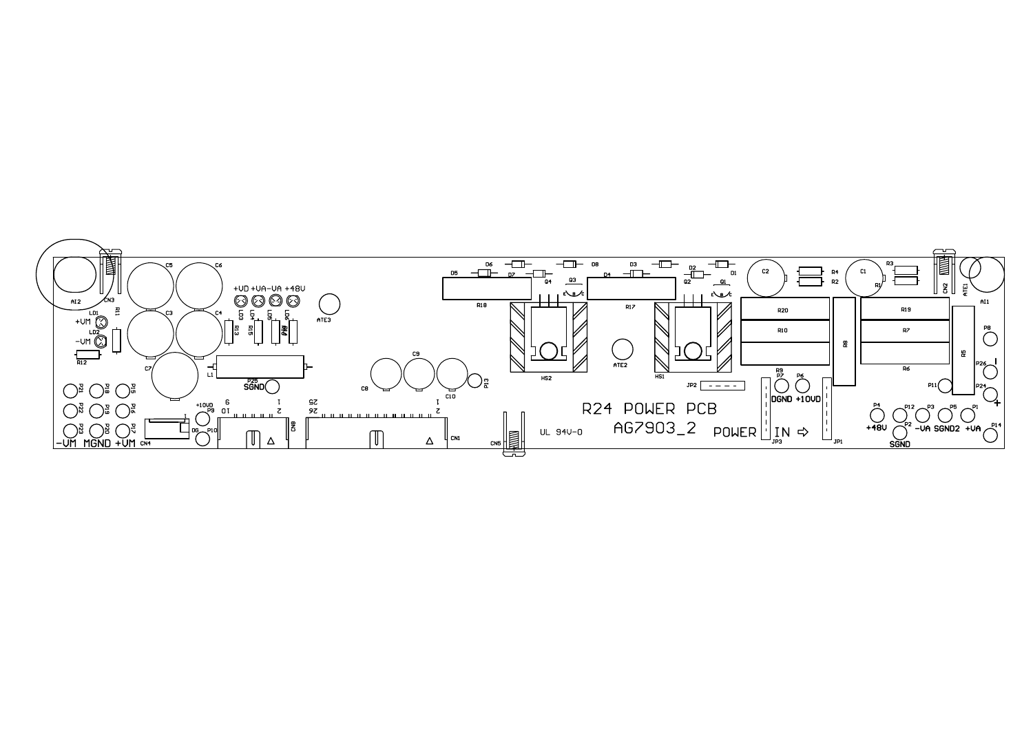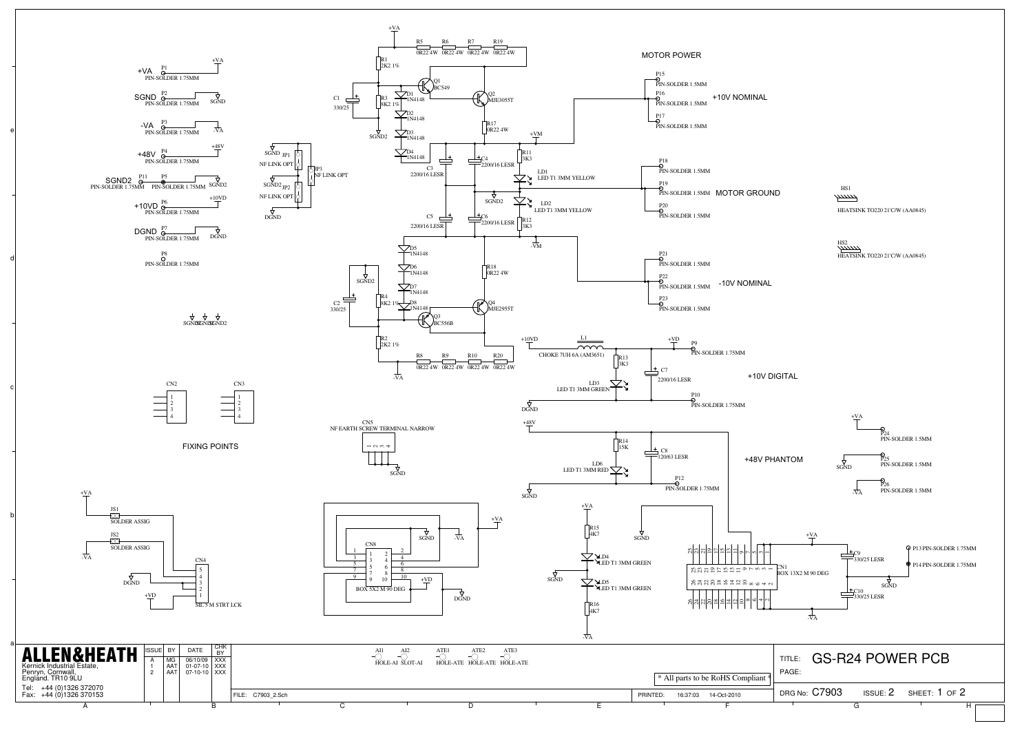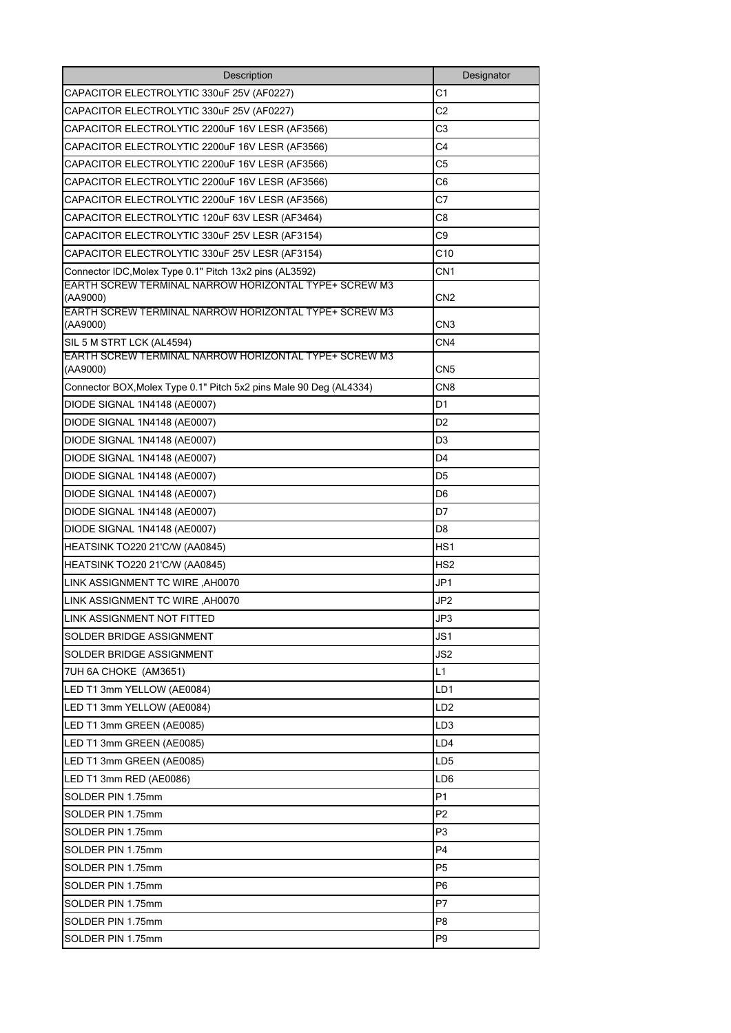| Description                                                                                                                | Designator      |
|----------------------------------------------------------------------------------------------------------------------------|-----------------|
| CAPACITOR ELECTROLYTIC 330uF 25V (AF0227)                                                                                  | C1              |
| CAPACITOR ELECTROLYTIC 330uF 25V (AF0227)                                                                                  | C <sub>2</sub>  |
| CAPACITOR ELECTROLYTIC 2200uF 16V LESR (AF3566)                                                                            | C3              |
| CAPACITOR ELECTROLYTIC 2200uF 16V LESR (AF3566)                                                                            | C4              |
| CAPACITOR ELECTROLYTIC 2200uF 16V LESR (AF3566)                                                                            | C <sub>5</sub>  |
| CAPACITOR ELECTROLYTIC 2200uF 16V LESR (AF3566)                                                                            | C <sub>6</sub>  |
| CAPACITOR ELECTROLYTIC 2200uF 16V LESR (AF3566)                                                                            | C7              |
| CAPACITOR ELECTROLYTIC 120uF 63V LESR (AF3464)                                                                             | C <sub>8</sub>  |
| CAPACITOR ELECTROLYTIC 330uF 25V LESR (AF3154)                                                                             | C9              |
| CAPACITOR ELECTROLYTIC 330uF 25V LESR (AF3154)                                                                             | C10             |
| Connector IDC, Molex Type 0.1" Pitch 13x2 pins (AL3592)                                                                    | CN <sub>1</sub> |
| EARTH SCREW TERMINAL NARROW HORIZONTAL TYPE+ SCREW M3<br>(AA9000)<br>EARTH SCREW TERMINAL NARROW HORIZONTAL TYPE+ SCREW M3 | CN2             |
| (AA9000)                                                                                                                   | CN3             |
| SIL 5 M STRT LCK (AL4594)                                                                                                  | CN4             |
| EARTH SCREW TERMINAL NARROW HORIZONTAL TYPE+ SCREW M3<br>(AA9000)                                                          | CN5             |
| Connector BOX, Molex Type 0.1" Pitch 5x2 pins Male 90 Deg (AL4334)                                                         | CN <sub>8</sub> |
| DIODE SIGNAL 1N4148 (AE0007)                                                                                               | D1              |
| DIODE SIGNAL 1N4148 (AE0007)                                                                                               | D <sub>2</sub>  |
| DIODE SIGNAL 1N4148 (AE0007)                                                                                               | D <sub>3</sub>  |
| DIODE SIGNAL 1N4148 (AE0007)                                                                                               | D4              |
| DIODE SIGNAL 1N4148 (AE0007)                                                                                               | D5              |
| DIODE SIGNAL 1N4148 (AE0007)                                                                                               | D6              |
| DIODE SIGNAL 1N4148 (AE0007)                                                                                               | D7              |
| DIODE SIGNAL 1N4148 (AE0007)                                                                                               | D <sub>8</sub>  |
| HEATSINK TO220 21'C/W (AA0845)                                                                                             | HS1             |
| HEATSINK TO220 21'C/W (AA0845)                                                                                             | HS <sub>2</sub> |
| LINK ASSIGNMENT TC WIRE, AH0070                                                                                            | JP1             |
| LINK ASSIGNMENT TC WIRE, AH0070                                                                                            | JP <sub>2</sub> |
| LINK ASSIGNMENT NOT FITTED                                                                                                 | JP3             |
| SOLDER BRIDGE ASSIGNMENT                                                                                                   | JS1             |
| SOLDER BRIDGE ASSIGNMENT                                                                                                   | JS2             |
| 7UH 6A CHOKE (AM3651)                                                                                                      | L1              |
| LED T1 3mm YELLOW (AE0084)                                                                                                 | LD1             |
| LED T1 3mm YELLOW (AE0084)                                                                                                 | LD2             |
| LED T1 3mm GREEN (AE0085)                                                                                                  | LD <sub>3</sub> |
| LED T1 3mm GREEN (AE0085)                                                                                                  | LD4             |
| LED T1 3mm GREEN (AE0085)                                                                                                  | LD5             |
| LED T1 3mm RED (AE0086)                                                                                                    | LD6             |
| SOLDER PIN 1.75mm                                                                                                          | P1              |
| SOLDER PIN 1.75mm                                                                                                          | P <sub>2</sub>  |
| SOLDER PIN 1.75mm                                                                                                          | P3              |
| SOLDER PIN 1.75mm                                                                                                          | P4              |
| SOLDER PIN 1.75mm                                                                                                          | P <sub>5</sub>  |
| SOLDER PIN 1.75mm                                                                                                          | P <sub>6</sub>  |
| SOLDER PIN 1.75mm                                                                                                          | P7              |
| SOLDER PIN 1.75mm                                                                                                          | P8              |
| SOLDER PIN 1.75mm                                                                                                          | P <sub>9</sub>  |
|                                                                                                                            |                 |